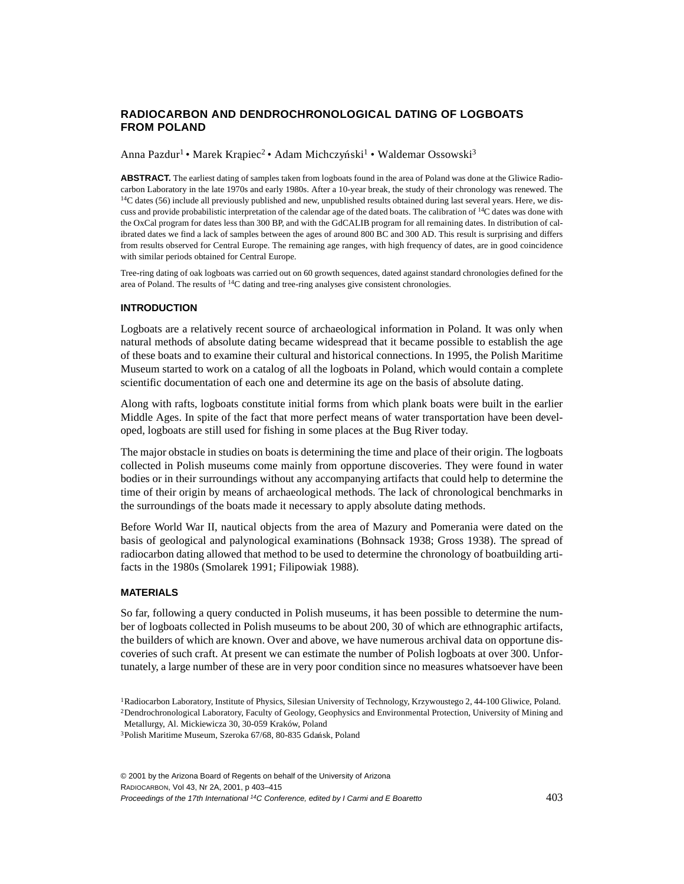# **RADIOCARBON AND DENDROCHRONOLOGICAL DATING OF LOGBOATS FROM POLAND**

Anna Pazdur<sup>1</sup> • Marek Krapiec<sup>2</sup> • Adam Michczyński<sup>1</sup> • Waldemar Ossowski<sup>3</sup>

**ABSTRACT.** The earliest dating of samples taken from logboats found in the area of Poland was done at the Gliwice Radiocarbon Laboratory in the late 1970s and early 1980s. After a 10-year break, the study of their chronology was renewed. The  $14C$  dates (56) include all previously published and new, unpublished results obtained during last several years. Here, we discuss and provide probabilistic interpretation of the calendar age of the dated boats. The calibration of 14C dates was done with the OxCal program for dates less than 300 BP, and with the GdCALIB program for all remaining dates. In distribution of calibrated dates we find a lack of samples between the ages of around 800 BC and 300 AD. This result is surprising and differs from results observed for Central Europe. The remaining age ranges, with high frequency of dates, are in good coincidence with similar periods obtained for Central Europe.

Tree-ring dating of oak logboats was carried out on 60 growth sequences, dated against standard chronologies defined for the area of Poland. The results of 14C dating and tree-ring analyses give consistent chronologies.

#### **INTRODUCTION**

Logboats are a relatively recent source of archaeological information in Poland. It was only when natural methods of absolute dating became widespread that it became possible to establish the age of these boats and to examine their cultural and historical connections. In 1995, the Polish Maritime Museum started to work on a catalog of all the logboats in Poland, which would contain a complete scientific documentation of each one and determine its age on the basis of absolute dating.

Along with rafts, logboats constitute initial forms from which plank boats were built in the earlier Middle Ages. In spite of the fact that more perfect means of water transportation have been developed, logboats are still used for fishing in some places at the Bug River today.

The major obstacle in studies on boats is determining the time and place of their origin. The logboats collected in Polish museums come mainly from opportune discoveries. They were found in water bodies or in their surroundings without any accompanying artifacts that could help to determine the time of their origin by means of archaeological methods. The lack of chronological benchmarks in the surroundings of the boats made it necessary to apply absolute dating methods.

Before World War II, nautical objects from the area of Mazury and Pomerania were dated on the basis of geological and palynological examinations (Bohnsack 1938; Gross 1938). The spread of radiocarbon dating allowed that method to be used to determine the chronology of boatbuilding artifacts in the 1980s (Smolarek 1991; Filipowiak 1988).

#### **MATERIALS**

So far, following a query conducted in Polish museums, it has been possible to determine the number of logboats collected in Polish museums to be about 200, 30 of which are ethnographic artifacts, the builders of which are known. Over and above, we have numerous archival data on opportune discoveries of such craft. At present we can estimate the number of Polish logboats at over 300. Unfortunately, a large number of these are in very poor condition since no measures whatsoever have been

<sup>1</sup>Radiocarbon Laboratory, Institute of Physics, Silesian University of Technology, Krzywoustego 2, 44-100 Gliwice, Poland. <sup>2</sup>Dendrochronological Laboratory, Faculty of Geology, Geophysics and Environmental Protection, University of Mining and Metallurgy, Al. Mickiewicza 30, 30-059 Kraków, Poland 3Polish Maritime Museum, Szeroka 67/68, 80-835 Gdañsk, Poland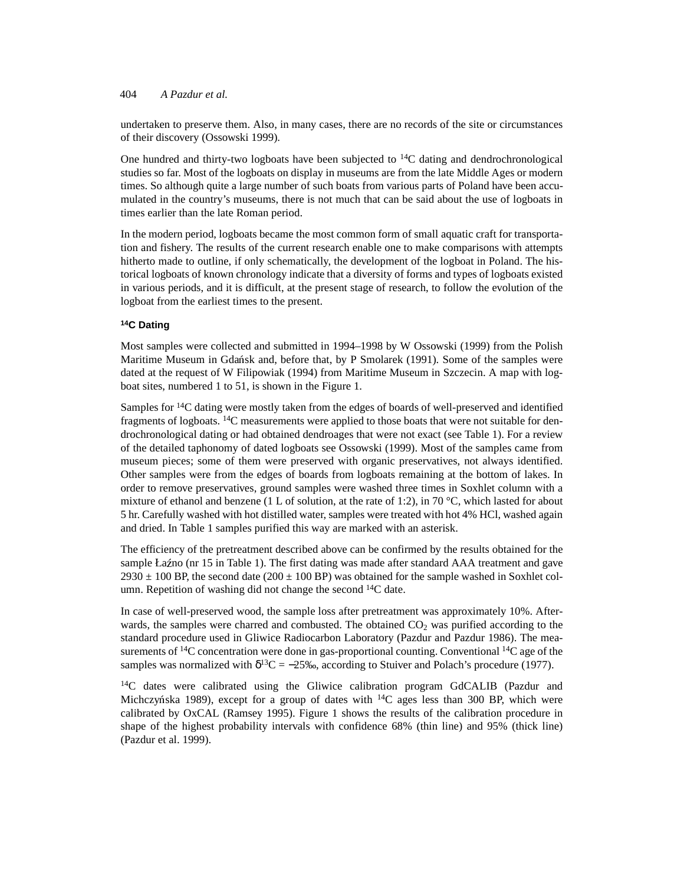undertaken to preserve them. Also, in many cases, there are no records of the site or circumstances of their discovery (Ossowski 1999).

One hundred and thirty-two logboats have been subjected to <sup>14</sup>C dating and dendrochronological studies so far. Most of the logboats on display in museums are from the late Middle Ages or modern times. So although quite a large number of such boats from various parts of Poland have been accumulated in the country's museums, there is not much that can be said about the use of logboats in times earlier than the late Roman period.

In the modern period, logboats became the most common form of small aquatic craft for transportation and fishery. The results of the current research enable one to make comparisons with attempts hitherto made to outline, if only schematically, the development of the logboat in Poland. The historical logboats of known chronology indicate that a diversity of forms and types of logboats existed in various periods, and it is difficult, at the present stage of research, to follow the evolution of the logboat from the earliest times to the present.

### **14C Dating**

Most samples were collected and submitted in 1994–1998 by W Ossowski (1999) from the Polish Maritime Museum in Gdañsk and, before that, by P Smolarek (1991). Some of the samples were dated at the request of W Filipowiak (1994) from Maritime Museum in Szczecin. A map with logboat sites, numbered 1 to 51, is shown in the Figure 1.

Samples for 14C dating were mostly taken from the edges of boards of well-preserved and identified fragments of logboats. <sup>14</sup>C measurements were applied to those boats that were not suitable for dendrochronological dating or had obtained dendroages that were not exact (see Table 1). For a review of the detailed taphonomy of dated logboats see Ossowski (1999). Most of the samples came from museum pieces; some of them were preserved with organic preservatives, not always identified. Other samples were from the edges of boards from logboats remaining at the bottom of lakes. In order to remove preservatives, ground samples were washed three times in Soxhlet column with a mixture of ethanol and benzene (1 L of solution, at the rate of 1:2), in 70 °C, which lasted for about 5 hr. Carefully washed with hot distilled water, samples were treated with hot 4% HCl, washed again and dried. In Table 1 samples purified this way are marked with an asterisk.

The efficiency of the pretreatment described above can be confirmed by the results obtained for the sample Łaźno (nr 15 in Table 1). The first dating was made after standard AAA treatment and gave  $2930 \pm 100$  BP, the second date ( $200 \pm 100$  BP) was obtained for the sample washed in Soxhlet column. Repetition of washing did not change the second <sup>14</sup>C date.

In case of well-preserved wood, the sample loss after pretreatment was approximately 10%. Afterwards, the samples were charred and combusted. The obtained  $CO<sub>2</sub>$  was purified according to the standard procedure used in Gliwice Radiocarbon Laboratory (Pazdur and Pazdur 1986). The measurements of  ${}^{14}C$  concentration were done in gas-proportional counting. Conventional  ${}^{14}C$  age of the samples was normalized with  $\delta^{13}C = -25\%$ , according to Stuiver and Polach's procedure (1977).

<sup>14</sup>C dates were calibrated using the Gliwice calibration program GdCALIB (Pazdur and Michczyńska 1989), except for a group of dates with  $14C$  ages less than 300 BP, which were calibrated by OxCAL (Ramsey 1995). Figure 1 shows the results of the calibration procedure in shape of the highest probability intervals with confidence 68% (thin line) and 95% (thick line) (Pazdur et al. 1999).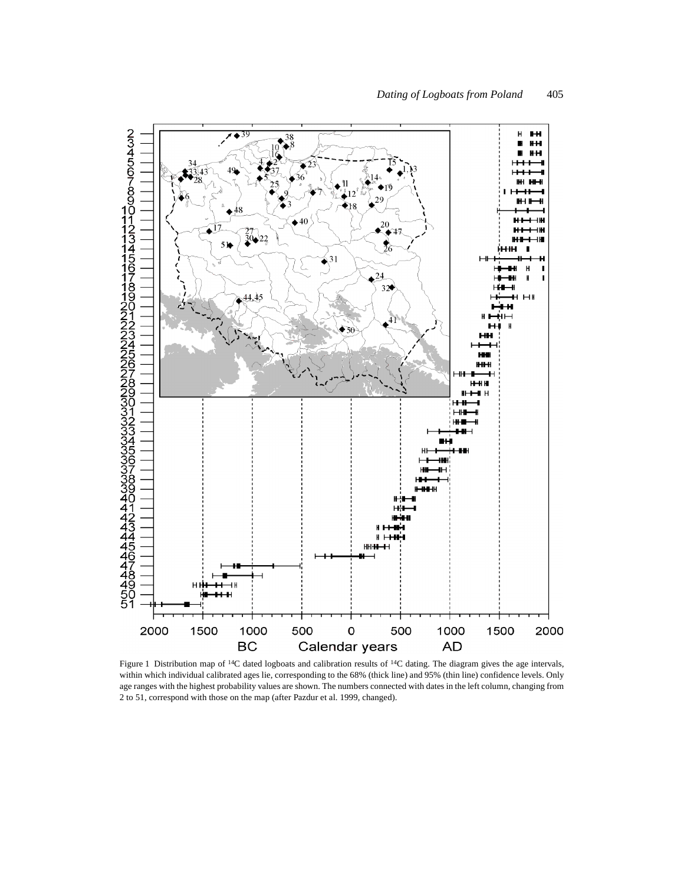

Figure 1 Distribution map of <sup>14</sup>C dated logboats and calibration results of <sup>14</sup>C dating. The diagram gives the age intervals, within which individual calibrated ages lie, corresponding to the 68% (thick line) and 95% (thin line) confidence levels. Only age ranges with the highest probability values are shown. The numbers connected with dates in the left column, changing from 2 to 51, correspond with those on the map (after Pazdur et al. 1999, changed).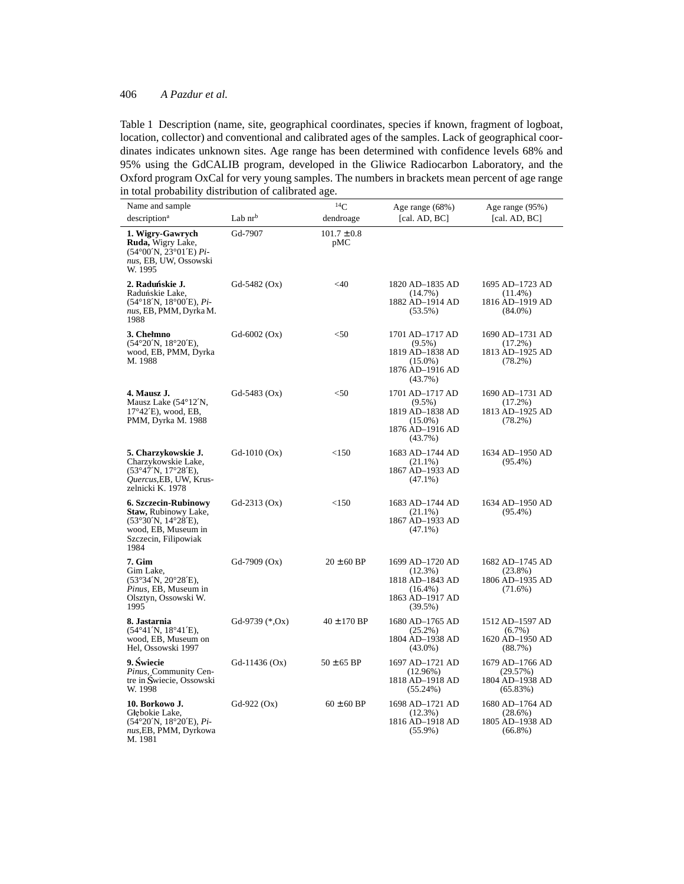| Name and sample                                                                                                                   |                   | $^{14}C$               | Age range (68%)                                                                                 | Age range (95%)                                                |
|-----------------------------------------------------------------------------------------------------------------------------------|-------------------|------------------------|-------------------------------------------------------------------------------------------------|----------------------------------------------------------------|
| description <sup>a</sup>                                                                                                          | Lab $nr^b$        | dendroage              | [cal. $AD, BC$ ]                                                                                | [cal. $AD, BC$ ]                                               |
| 1. Wigry-Gawrych<br>Ruda, Wigry Lake,<br>$(54^{\circ}00'N, 23^{\circ}01'E)$ Pi-<br>nus, EB, UW, Ossowski<br>W. 1995               | Gd-7907           | $101.7 \pm 0.8$<br>pMC |                                                                                                 |                                                                |
| 2. Raduńskie J.<br>Raduńskie Lake,<br>$(54^{\circ}18'N, 18^{\circ}00'E), Pi-$<br>nus, EB, PMM, Dyrka M.<br>1988                   | $Gd-5482(Ox)$     | $<$ 40                 | 1820 AD-1835 AD<br>$(14.7\%)$<br>1882 AD-1914 AD<br>$(53.5\%)$                                  | 1695 AD-1723 AD<br>$(11.4\%)$<br>1816 AD-1919 AD<br>$(84.0\%)$ |
| 3. Chełmno<br>$(54^{\circ}20'N, 18^{\circ}20'E),$<br>wood, EB, PMM, Dyrka<br>M. 1988                                              | $Gd - 6002(Ox)$   | $50$                   | 1701 AD-1717 AD<br>$(9.5\%)$<br>1819 AD-1838 AD<br>$(15.0\%)$<br>1876 AD-1916 AD<br>$(43.7\%)$  | 1690 AD-1731 AD<br>$(17.2\%)$<br>1813 AD-1925 AD<br>$(78.2\%)$ |
| 4. Mausz J.<br>Mausz Lake (54°12'N,<br>$17^{\circ}42'$ E), wood, EB,<br>PMM, Dyrka M. 1988                                        | $Gd-5483(Ox)$     | $50$                   | 1701 AD-1717 AD<br>$(9.5\%)$<br>1819 AD-1838 AD<br>$(15.0\%)$<br>1876 AD-1916 AD<br>$(43.7\%)$  | 1690 AD-1731 AD<br>$(17.2\%)$<br>1813 AD-1925 AD<br>$(78.2\%)$ |
| 5. Charzykowskie J.<br>Charzykowskie Lake,<br>(53°47'N, 17°28'E),<br>Ouercus, EB, UW, Krus-<br>zelnicki K. 1978                   | $Gd-1010(Ox)$     | <150                   | 1683 AD-1744 AD<br>$(21.1\%)$<br>1867 AD-1933 AD<br>$(47.1\%)$                                  | 1634 AD-1950 AD<br>$(95.4\%)$                                  |
| 6. Szczecin-Rubinowy<br><b>Staw, Rubinowy Lake,</b><br>(53°30'N, 14°28'E),<br>wood, EB, Museum in<br>Szczecin, Filipowiak<br>1984 | $Gd-2313(Ox)$     | <150                   | 1683 AD-1744 AD<br>$(21.1\%)$<br>1867 AD-1933 AD<br>$(47.1\%)$                                  | 1634 AD-1950 AD<br>$(95.4\%)$                                  |
| 7. Gim<br>Gim Lake,<br>$(53°34'N, 20°28'E)$ ,<br>Pinus, EB, Museum in<br>Olsztyn, Ossowski W.<br>1995                             | $Gd-7909(Ox)$     | $20 \pm 60$ BP         | 1699 AD-1720 AD<br>$(12.3\%)$<br>1818 AD-1843 AD<br>$(16.4\%)$<br>1863 AD-1917 AD<br>$(39.5\%)$ | 1682 AD-1745 AD<br>$(23.8\%)$<br>1806 AD-1935 AD<br>$(71.6\%)$ |
| 8. Jastarnia<br>$(54^{\circ}41'N, 18^{\circ}41'E)$ ,<br>wood, EB, Museum on<br>Hel, Ossowski 1997                                 | Gd-9739 $(*, Ox)$ | $40 \pm 170$ BP        | 1680 AD-1765 AD<br>$(25.2\%)$<br>1804 AD-1938 AD<br>$(43.0\%)$                                  | 1512 AD-1597 AD<br>$(6.7\%)$<br>1620 AD-1950 AD<br>(88.7%)     |
| 9. Świecie<br>Pinus, Community Cen-<br>tre in Świecie, Ossowski<br>W. 1998                                                        | $Gd-11436 (Ox)$   | $50 \pm 65$ BP         | 1697 AD-1721 AD<br>(12.96%)<br>1818 AD-1918 AD<br>$(55.24\%)$                                   | 1679 AD-1766 AD<br>(29.57%)<br>1804 AD-1938 AD<br>(65.83%)     |
| 10. Borkowo J.<br>Głebokie Lake,<br>$(54^{\circ}20'N, 18^{\circ}20'E), Pi-$<br>nus, EB, PMM, Dyrkowa<br>M 1981                    | $Gd-922(Ox)$      | $60 \pm 60$ BP         | 1698 AD-1721 AD<br>$(12.3\%)$<br>1816 AD-1918 AD<br>$(55.9\%)$                                  | 1680 AD-1764 AD<br>$(28.6\%)$<br>1805 AD-1938 AD<br>$(66.8\%)$ |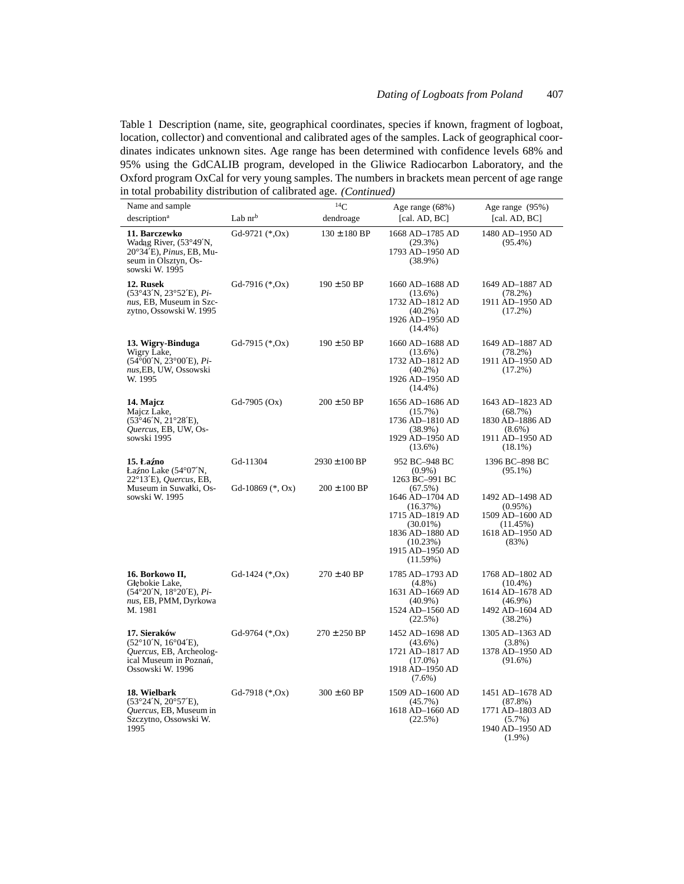| Name and sample                                                                                                                               |                                | $^{14}C$                              | Age range (68%)                                                                                                                                                                           | Age range (95%)                                                                                                          |
|-----------------------------------------------------------------------------------------------------------------------------------------------|--------------------------------|---------------------------------------|-------------------------------------------------------------------------------------------------------------------------------------------------------------------------------------------|--------------------------------------------------------------------------------------------------------------------------|
| description <sup>a</sup>                                                                                                                      | Lab nr <sup>b</sup>            | dendroage                             | [cal. $AD, BC$ ]                                                                                                                                                                          | [cal. $AD, BC$ ]                                                                                                         |
| 11. Barczewko<br>Wadag River, (53°49'N,<br>20°34'E), <i>Pinus</i> , EB, Mu-<br>seum in Olsztyn, Os-<br>sowski W. 1995                         | Gd-9721 (*, Ox)                | $130 \pm 180$ BP                      | 1668 AD-1785 AD<br>$(29.3\%)$<br>1793 AD-1950 AD<br>$(38.9\%)$                                                                                                                            | 1480 AD-1950 AD<br>$(95.4\%)$                                                                                            |
| 12. Rusek<br>$(53°43'N, 23°52'E), Pi-$<br>nus, EB, Museum in Szc-<br>zytno, Ossowski W. 1995                                                  | Gd-7916 $(*.Ox)$               | $190 \pm 50$ BP                       | 1660 AD-1688 AD<br>$(13.6\%)$<br>1732 AD-1812 AD<br>$(40.2\%)$<br>1926 AD-1950 AD<br>$(14.4\%)$                                                                                           | 1649 AD-1887 AD<br>$(78.2\%)$<br>1911 AD-1950 AD<br>$(17.2\%)$                                                           |
| 13. Wigry-Binduga<br>Wigry Lake,<br>(54°00'N, 23°00'E), Pi-<br>nus, EB, UW, Ossowski<br>W. 1995                                               | Gd-7915 $(*, Ox)$              | $190 \pm 50$ BP                       | 1660 AD-1688 AD<br>$(13.6\%)$<br>1732 AD-1812 AD<br>$(40.2\%)$<br>1926 AD-1950 AD<br>$(14.4\%)$                                                                                           | 1649 AD-1887 AD<br>$(78.2\%)$<br>1911 AD-1950 AD<br>$(17.2\%)$                                                           |
| 14. Majcz<br>Majcz Lake,<br>$(53^{\circ}46'N, 21^{\circ}28'E)$ ,<br>Ouercus, EB, UW, Os-<br>sowski 1995                                       | $Gd-7905(Ox)$                  | $200 \pm 50$ BP                       | 1656 AD-1686 AD<br>$(15.7\%)$<br>1736 AD-1810 AD<br>$(38.9\%)$<br>1929 AD-1950 AD<br>$(13.6\%)$                                                                                           | 1643 AD-1823 AD<br>(68.7%)<br>1830 AD-1886 AD<br>$(8.6\%)$<br>1911 AD-1950 AD<br>$(18.1\%)$                              |
| 15. Łaźno<br>Łaźno Lake (54°07'N,<br>$22^{\circ}13'E$ , <i>Ouercus</i> , EB,<br>Museum in Suwałki, Os-<br>sowski W. 1995                      | Gd-11304<br>Gd-10869 $(*, Ox)$ | $2930 \pm 100$ BP<br>$200 \pm 100$ BP | 952 BC-948 BC<br>$(0.9\%)$<br>1263 BC-991 BC<br>$(67.5\%)$<br>1646 AD-1704 AD<br>(16.37%)<br>1715 AD-1819 AD<br>$(30.01\%)$<br>1836 AD-1880 AD<br>(10.23%)<br>1915 AD-1950 AD<br>(11.59%) | 1396 BC-898 BC<br>$(95.1\%)$<br>1492 AD-1498 AD<br>$(0.95\%)$<br>1509 AD-1600 AD<br>(11.45%)<br>1618 AD-1950 AD<br>(83%) |
| 16. Borkowo II,<br>Głebokie Lake,<br>$(54^{\circ}20'N, 18^{\circ}20'E), Pi-$<br>nus, EB, PMM, Dyrkowa<br>M. 1981                              | Gd-1424 $(*, Ox)$              | $270 \pm 40$ BP                       | 1785 AD-1793 AD<br>$(4.8\%)$<br>1631 AD-1669 AD<br>$(40.9\%)$<br>1524 AD-1560 AD<br>(22.5%)                                                                                               | 1768 AD-1802 AD<br>$(10.4\%)$<br>1614 AD-1678 AD<br>$(46.9\%)$<br>1492 AD-1604 AD<br>$(38.2\%)$                          |
| 17. Sieraków<br>$(52^{\circ}10^{\prime}N, 16^{\circ}04^{\prime}E)$ ,<br>Quercus, EB, Archeolog-<br>ical Museum in Poznań,<br>Ossowski W. 1996 | Gd-9764 $(*, Ox)$              | $270 \pm 250$ BP                      | 1452 AD-1698 AD<br>$(43.6\%)$<br>1721 AD-1817 AD<br>$(17.0\%)$<br>1918 AD-1950 AD<br>$(7.6\%)$                                                                                            | 1305 AD-1363 AD<br>$(3.8\%)$<br>1378 AD-1950 AD<br>$(91.6\%)$                                                            |
| 18. Wielbark<br>(53°24'N, 20°57'E),<br>Quercus, EB, Museum in<br>Szczytno, Ossowski W.<br>1995                                                | Gd-7918 $(*.Ox)$               | $300 \pm 60$ BP                       | 1509 AD-1600 AD<br>$(45.7\%)$<br>1618 AD-1660 AD<br>(22.5%)                                                                                                                               | 1451 AD-1678 AD<br>$(87.8\%)$<br>1771 AD-1803 AD<br>$(5.7\%)$<br>1940 AD-1950 AD<br>$(1.9\%)$                            |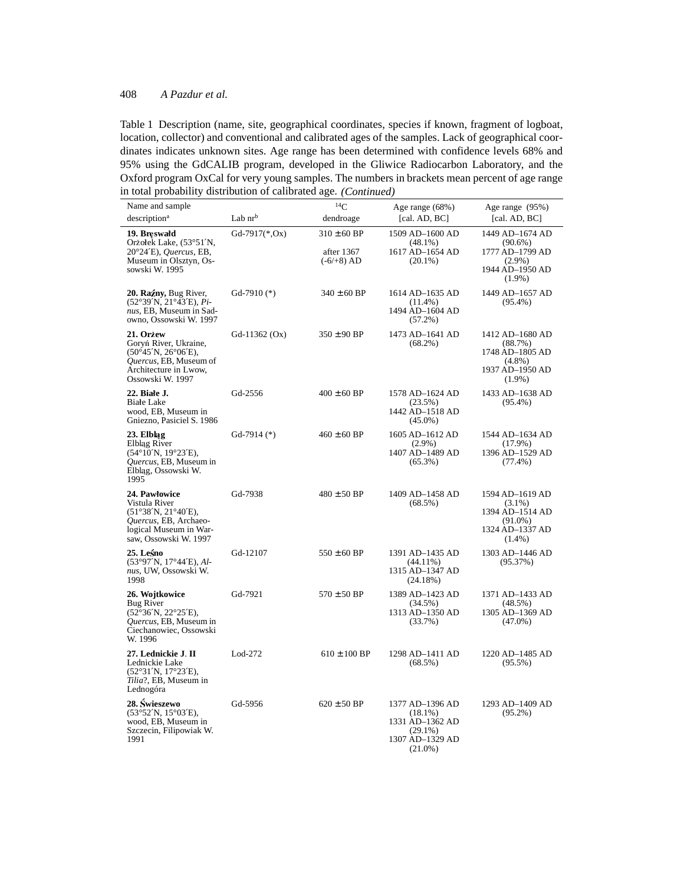| Name and sample                                                                                                                                  |                 | ${}^{14}C$                                      | Age range (68%)                                                                                 | Age range (95%)                                                                               |
|--------------------------------------------------------------------------------------------------------------------------------------------------|-----------------|-------------------------------------------------|-------------------------------------------------------------------------------------------------|-----------------------------------------------------------------------------------------------|
| description <sup>a</sup>                                                                                                                         | Lab $nrb$       | dendroage                                       | [cal. $AD, BC$ ]                                                                                | [cal. $AD, BC$ ]                                                                              |
| 19. Breswałd<br>Orzołek Lake, (53°51'N,<br>20°24'E), Quercus, EB,<br>Museum in Olsztyn, Os-<br>sowski W. 1995                                    | Gd-7917(*,Ox)   | $310 \pm 60$ BP<br>after 1367<br>$(-6/ + 8)$ AD | 1509 AD-1600 AD<br>$(48.1\%)$<br>1617 AD-1654 AD<br>$(20.1\%)$                                  | 1449 AD-1674 AD<br>$(90.6\%)$<br>1777 AD-1799 AD<br>$(2.9\%)$<br>1944 AD-1950 AD<br>$(1.9\%)$ |
| 20. Raźny, Bug River,<br>$(52°39'N, 21°43'E), Pi-$<br>nus, EB, Museum in Sad-<br>owno, Ossowski W. 1997                                          | Gd-7910 $(*)$   | $340 \pm 60$ BP                                 | 1614 AD-1635 AD<br>$(11.4\%)$<br>1494 AD-1604 AD<br>$(57.2\%)$                                  | 1449 AD-1657 AD<br>$(95.4\%)$                                                                 |
| 21. Orzew<br>Goryń River, Ukraine,<br>$(50^{\circ}45'N, 26^{\circ}06'E),$<br>Quercus, EB, Museum of<br>Architecture in Lwow,<br>Ossowski W. 1997 | Gd-11362 $(Ox)$ | $350 \pm 90$ BP                                 | 1473 AD-1641 AD<br>$(68.2\%)$                                                                   | 1412 AD-1680 AD<br>(88.7%)<br>1748 AD-1805 AD<br>$(4.8\%)$<br>1937 AD-1950 AD<br>$(1.9\%)$    |
| 22. Białe J.<br><b>Białe Lake</b><br>wood, EB, Museum in<br>Gniezno, Pasiciel S. 1986                                                            | Gd-2556         | $400 \pm 60$ BP                                 | 1578 AD-1624 AD<br>$(23.5\%)$<br>1442 AD-1518 AD<br>$(45.0\%)$                                  | 1433 AD-1638 AD<br>$(95.4\%)$                                                                 |
| 23. Elblag<br>Elblag River<br>$(54^{\circ}10^{\prime}N, 19^{\circ}23^{\prime}E)$ ,<br>Quercus, EB, Museum in<br>Elbląg, Ossowski W.<br>1995      | Gd-7914 $(*)$   | $460 \pm 60$ BP                                 | 1605 AD-1612 AD<br>$(2.9\%)$<br>1407 AD-1489 AD<br>$(65.3\%)$                                   | 1544 AD-1634 AD<br>$(17.9\%)$<br>1396 AD-1529 AD<br>$(77.4\%)$                                |
| 24. Pawłowice<br>Vistula River<br>(51°38'N, 21°40'E),<br>Quercus, EB, Archaeo-<br>logical Museum in War-<br>saw, Ossowski W. 1997                | Gd-7938         | $480 \pm 50$ BP                                 | 1409 AD-1458 AD<br>$(68.5\%)$                                                                   | 1594 AD-1619 AD<br>$(3.1\%)$<br>1394 AD-1514 AD<br>$(91.0\%)$<br>1324 AD-1337 AD<br>$(1.4\%)$ |
| 25. Leśno<br>(53°97'N, 17°44'E), Al-<br>nus, UW, Ossowski W.<br>1998                                                                             | Gd-12107        | $550 \pm 60$ BP                                 | 1391 AD-1435 AD<br>$(44.11\%)$<br>1315 AD-1347 AD<br>(24.18%)                                   | 1303 AD-1446 AD<br>(95.37%)                                                                   |
| 26. Wojtkowice<br><b>Bug River</b><br>$(52^{\circ}36'N, 22^{\circ}25'E),$<br>Quercus, EB, Museum in<br>Ciechanowiec, Ossowski<br>W. 1996         | Gd-7921         | $570 \pm 50$ BP                                 | 1389 AD-1423 AD<br>$(34.5\%)$<br>1313 AD-1350 AD<br>(33.7%)                                     | 1371 AD-1433 AD<br>(48.5%)<br>1305 AD-1369 AD<br>$(47.0\%)$                                   |
| 27. Lednickie J. II<br>Lednickie Lake<br>(52°31'N, 17°23'E),<br>Tilia?, EB, Museum in<br>Lednogóra                                               | $Lod-272$       | $610 \pm 100$ BP                                | 1298 AD-1411 AD<br>$(68.5\%)$                                                                   | 1220 AD-1485 AD<br>$(95.5\%)$                                                                 |
| 28. Świeszewo<br>$(53°52'N, 15°03'E)$ ,<br>wood, EB, Museum in<br>Szczecin, Filipowiak W.<br>1991                                                | Gd-5956         | $620 \pm 50$ BP                                 | 1377 AD-1396 AD<br>$(18.1\%)$<br>1331 AD-1362 AD<br>$(29.1\%)$<br>1307 AD-1329 AD<br>$(21.0\%)$ | 1293 AD-1409 AD<br>$(95.2\%)$                                                                 |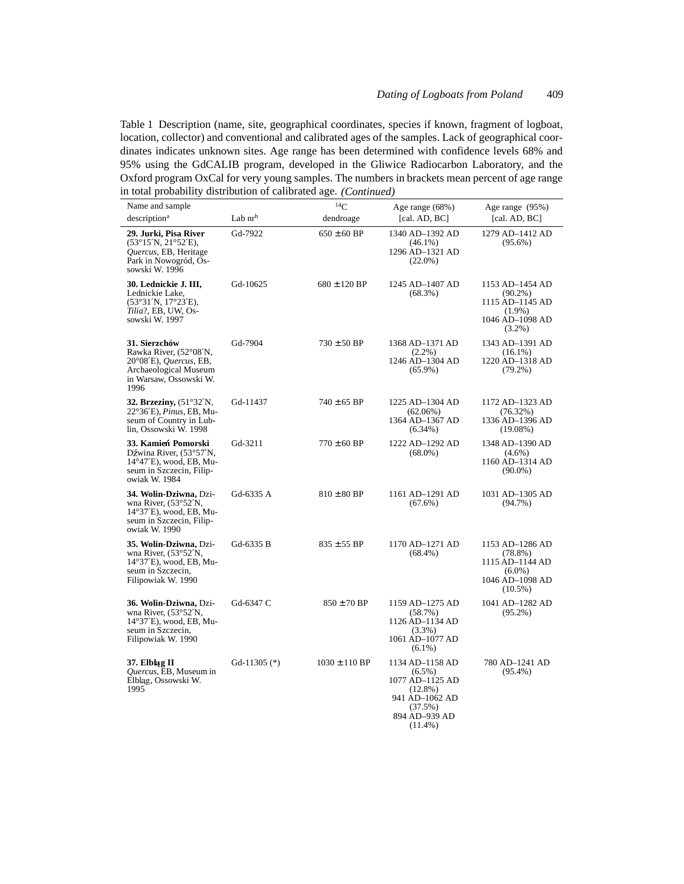| Name and sample                                                                                                                  |                | $^{14}C$          | Age range (68%)                                                                                                           | Age range (95%)                                                                                |
|----------------------------------------------------------------------------------------------------------------------------------|----------------|-------------------|---------------------------------------------------------------------------------------------------------------------------|------------------------------------------------------------------------------------------------|
| description <sup>a</sup>                                                                                                         | Lab $nrb$      | dendroage         | [cal. $AD, BC$ ]                                                                                                          | [cal. $AD, BC$ ]                                                                               |
| 29. Jurki, Pisa River<br>$(53^{\circ}15'N, 21^{\circ}52'E),$<br>Quercus, EB, Heritage<br>Park in Nowogród, Os-<br>sowski W. 1996 | Gd-7922        | $650 \pm 60$ BP   | 1340 AD-1392 AD<br>$(46.1\%)$<br>1296 AD-1321 AD<br>$(22.0\%)$                                                            | 1279 AD-1412 AD<br>$(95.6\%)$                                                                  |
| 30. Lednickie J. III,<br>Lednickie Lake,<br>$(53°31'N, 17°23'E)$ ,<br>Tilia?, EB, UW, Os-<br>sowski W. 1997                      | Gd-10625       | $680 \pm 120$ BP  | 1245 AD-1407 AD<br>$(68.3\%)$                                                                                             | 1153 AD-1454 AD<br>$(90.2\%)$<br>1115 AD-1145 AD<br>$(1.9\%)$<br>1046 AD-1098 AD<br>$(3.2\%)$  |
| 31. Sierzchów<br>Rawka River, (52°08'N,<br>20°08'E), Quercus, EB,<br>Archaeological Museum<br>in Warsaw, Ossowski W.<br>1996     | Gd-7904        | $730 \pm 50$ BP   | 1368 AD-1371 AD<br>$(2.2\%)$<br>1246 AD-1304 AD<br>$(65.9\%)$                                                             | 1343 AD-1391 AD<br>$(16.1\%)$<br>1220 AD-1318 AD<br>$(79.2\%)$                                 |
| 32. Brzeziny, $(51°32'N,$<br>22°36'E), <i>Pinus</i> , EB, Mu-<br>seum of Country in Lub-<br>lin, Ossowski W. 1998                | Gd-11437       | $740 \pm 65$ BP   | 1225 AD-1304 AD<br>$(62.06\%)$<br>1364 AD-1367 AD<br>$(6.34\%)$                                                           | 1172 AD-1323 AD<br>(76.32%)<br>1336 AD-1396 AD<br>$(19.08\%)$                                  |
| 33. Kamień Pomorski<br>Dźwina River, (53°57'N,<br>14°47'E), wood, EB, Mu-<br>seum in Szczecin, Filip-<br>owiak W. 1984           | Gd-3211        | $770 \pm 60$ BP   | 1222 AD-1292 AD<br>$(68.0\%)$                                                                                             | 1348 AD-1390 AD<br>$(4.6\%)$<br>1160 AD-1314 AD<br>$(90.0\%)$                                  |
| 34. Wolin-Dziwna, Dzi-<br>wna River, (53°52'N,<br>$14^{\circ}37'E$ , wood, EB, Mu-<br>seum in Szczecin, Filip-<br>owiak W. 1990  | Gd-6335 A      | $810 \pm 80$ BP   | 1161 AD-1291 AD<br>$(67.6\%)$                                                                                             | 1031 AD-1305 AD<br>$(94.7\%)$                                                                  |
| 35. Wolin-Dziwna, Dzi-<br>wna River, (53°52'N,<br>$14^{\circ}37'E$ , wood, EB, Mu-<br>seum in Szczecin,<br>Filipowiak W. 1990    | Gd-6335 B      | $835 \pm 55$ BP   | 1170 AD-1271 AD<br>$(68.4\%)$                                                                                             | 1153 AD-1286 AD<br>$(78.8\%)$<br>1115 AD-1144 AD<br>$(6.0\%)$<br>1046 AD-1098 AD<br>$(10.5\%)$ |
| 36. Wolin-Dziwna, Dzi-<br>wna River, (53°52'N,<br>$14^{\circ}37'E$ , wood, EB, Mu-<br>seum in Szczecin,<br>Filipowiak W. 1990    | Gd-6347 C      | $850 \pm 70$ BP   | 1159 AD-1275 AD<br>(58.7%)<br>1126 AD-1134 AD<br>$(3.3\%)$<br>1061 AD-1077 AD<br>$(6.1\%)$                                | 1041 AD-1282 AD<br>$(95.2\%)$                                                                  |
| 37. Elbląg II<br>Quercus, EB, Museum in<br>Elbląg, Ossowski W.<br>1995                                                           | Gd-11305 $(*)$ | $1030 \pm 110$ BP | 1134 AD-1158 AD<br>$(6.5\%)$<br>1077 AD-1125 AD<br>$(12.8\%)$<br>941 AD-1062 AD<br>(37.5%)<br>894 AD-939 AD<br>$(11.4\%)$ | 780 AD-1241 AD<br>$(95.4\%)$                                                                   |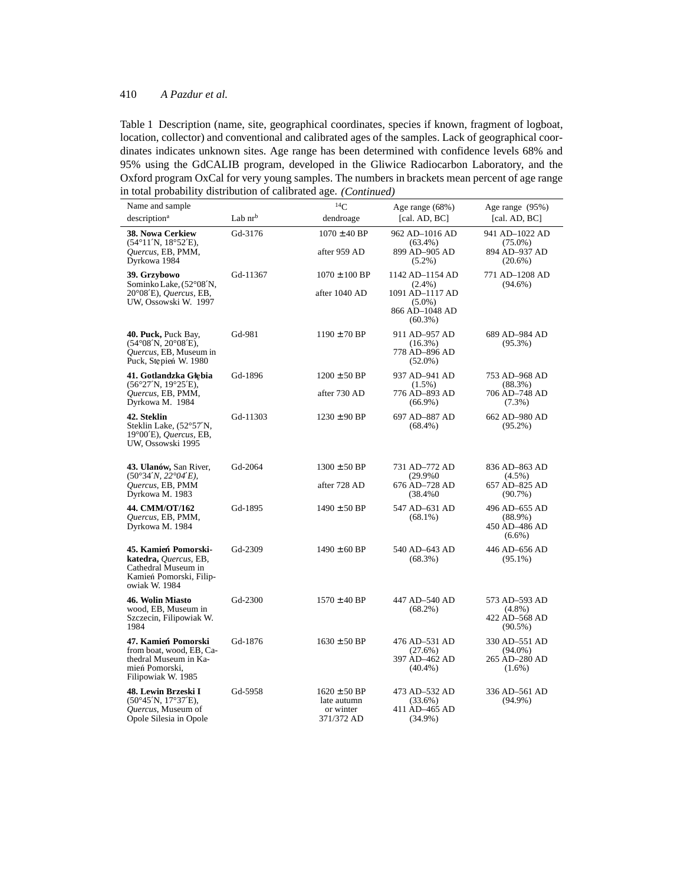| Name and sample                                                                                                     |           | $^{14}C$                                                   | Age range (68%)                                              | Age range (95%)                                           |
|---------------------------------------------------------------------------------------------------------------------|-----------|------------------------------------------------------------|--------------------------------------------------------------|-----------------------------------------------------------|
| description <sup>a</sup>                                                                                            | Lab $nrb$ | dendroage                                                  | [cal. $AD, BC$ ]                                             | [cal. AD, BC]                                             |
| 38. Nowa Cerkiew<br>$(54^{\circ}11'N, 18^{\circ}52'E),$                                                             | Gd-3176   | $1070 \pm 40$ BP                                           | 962 AD-1016 AD<br>$(63.4\%)$                                 | 941 AD-1022 AD<br>$(75.0\%)$                              |
| Quercus, EB, PMM,<br>Dyrkowa 1984                                                                                   |           | after 959 AD                                               | 899 AD-905 AD<br>$(5.2\%)$                                   | 894 AD-937 AD<br>$(20.6\%)$                               |
| 39. Grzybowo<br>Sominko Lake, (52°08'N,                                                                             | Gd-11367  | $1070 \pm 100$ BP                                          | 1142 AD-1154 AD<br>$(2.4\%)$                                 | 771 AD-1208 AD<br>$(94.6\%)$                              |
| 20°08'E), Quercus, EB,<br>UW, Ossowski W. 1997                                                                      |           | after 1040 AD                                              | 1091 AD-1117 AD<br>$(5.0\%)$<br>866 AD-1048 AD<br>$(60.3\%)$ |                                                           |
| 40. Puck, Puck Bay,<br>$(54^{\circ}08'N, 20^{\circ}08'E),$<br>Quercus, EB, Museum in<br>Puck, Stępień W. 1980       | Gd-981    | $1190 \pm 70$ BP                                           | 911 AD-957 AD<br>$(16.3\%)$<br>778 AD-896 AD<br>$(52.0\%)$   | 689 AD-984 AD<br>$(95.3\%)$                               |
| 41. Gotlandzka Głebia<br>$(56°27'N, 19°25'E)$ ,                                                                     | Gd-1896   | $1200 \pm 50$ BP                                           | 937 AD-941 AD<br>$(1.5\%)$                                   | 753 AD-968 AD<br>$(88.3\%)$                               |
| Quercus, EB, PMM,<br>Dyrkowa M. 1984                                                                                |           | after 730 AD                                               | 776 AD-893 AD<br>$(66.9\%)$                                  | 706 AD-748 AD<br>$(7.3\%)$                                |
| 42. Steklin<br>Steklin Lake, (52°57'N,<br>$19^{\circ}00'E$ , Quercus, EB,<br>UW, Ossowski 1995                      | Gd-11303  | $1230 \pm 90$ BP                                           | 697 AD-887 AD<br>$(68.4\%)$                                  | 662 AD-980 AD<br>$(95.2\%)$                               |
| 43. Ulanów, San River,<br>$(50^{\circ}34'N, 22^{\circ}04'E)$ ,                                                      | Gd-2064   | $1300 \pm 50$ BP                                           | 731 AD-772 AD<br>(29.9%0)                                    | 836 AD-863 AD<br>$(4.5\%)$                                |
| Quercus, EB, PMM<br>Dyrkowa M. 1983                                                                                 |           | after 728 AD                                               | 676 AD-728 AD<br>(38.4%0)                                    | 657 AD-825 AD<br>$(90.7\%)$                               |
| 44. CMM/OT/162<br>Quercus, EB, PMM,<br>Dyrkowa M. 1984                                                              | Gd-1895   | $1490 \pm 50$ BP                                           | 547 AD-631 AD<br>$(68.1\%)$                                  | 496 AD-655 AD<br>$(88.9\%)$<br>450 AD-486 AD<br>$(6.6\%)$ |
| 45. Kamień Pomorski-<br>katedra, Quercus, EB,<br>Cathedral Museum in<br>Kamień Pomorski, Filip-<br>owiak W. 1984    | Gd-2309   | $1490 \pm 60$ BP                                           | 540 AD-643 AD<br>$(68.3\%)$                                  | 446 AD-656 AD<br>$(95.1\%)$                               |
| 46. Wolin Miasto<br>wood. EB. Museum in<br>Szczecin, Filipowiak W.<br>1984                                          | $Gd-2300$ | $1570 \pm 40$ BP                                           | 447 AD-540 AD<br>$(68.2\%)$                                  | 573 AD-593 AD<br>$(4.8\%)$<br>422 AD-568 AD<br>$(90.5\%)$ |
| 47. Kamień Pomorski<br>from boat, wood, EB, Ca-<br>thedral Museum in Ka-<br>mień Pomorski,<br>Filipowiak W. 1985    | Gd-1876   | $1630 \pm 50$ BP                                           | 476 AD-531 AD<br>(27.6%)<br>397 AD-462 AD<br>$(40.4\%)$      | 330 AD-551 AD<br>$(94.0\%)$<br>265 AD-280 AD<br>$(1.6\%)$ |
| 48. Lewin Brzeski I<br>$(50^{\circ}45'N, 17^{\circ}37'E)$ ,<br><i>Ouercus</i> , Museum of<br>Opole Silesia in Opole | Gd-5958   | $1620 \pm 50$ BP<br>late autumn<br>or winter<br>371/372 AD | 473 AD-532 AD<br>$(33.6\%)$<br>411 AD-465 AD<br>$(34.9\%)$   | 336 AD-561 AD<br>$(94.9\%)$                               |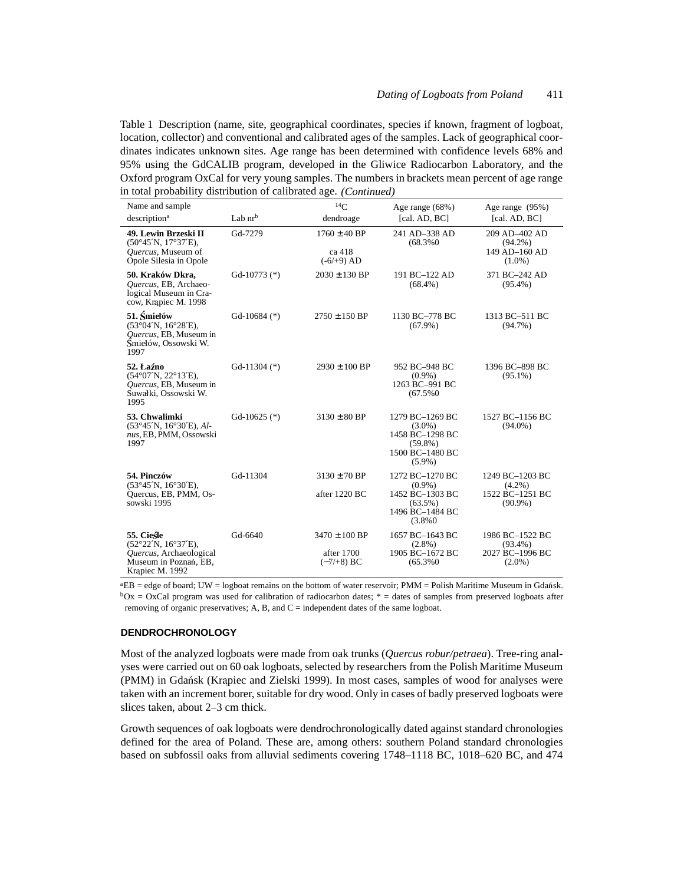Table 1 Description (name, site, geographical coordinates, species if known, fragment of logboat, location, collector) and conventional and calibrated ages of the samples. Lack of geographical coordinates indicates unknown sites. Age range has been determined with confidence levels 68% and 95% using the GdCALIB program, developed in the Gliwice Radiocarbon Laboratory, and the Oxford program OxCal for very young samples. The numbers in brackets mean percent of age range in total probability distribution of calibrated age. *(Continued)*

| Name and sample<br>description <sup>a</sup>                                                                               | Lab $nr^b$     | 14C<br>dendroage                                | Age range (68%)<br>[cal. AD, BC]                                                              | Age range (95%)<br>[cal. AD, BC]                              |
|---------------------------------------------------------------------------------------------------------------------------|----------------|-------------------------------------------------|-----------------------------------------------------------------------------------------------|---------------------------------------------------------------|
| 49. Lewin Brzeski II<br>$(50^{\circ}45'N, 17^{\circ}37'E),$<br>Quercus, Museum of<br>Opole Silesia in Opole               | Gd-7279        | $1760 \pm 40$ BP<br>ca 418<br>$(-6/0.49)$ AD    | 241 AD-338 AD<br>(68.3%0)                                                                     | 209 AD-402 AD<br>$(94.2\%)$<br>149 AD-160 AD<br>$(1.0\%)$     |
| 50. Kraków Dkra,<br>Quercus, EB, Archaeo-<br>logical Museum in Cra-<br>cow, Krapiec M. 1998                               | Gd-10773 $(*)$ | $2030 \pm 130$ BP                               | 191 BC-122 AD<br>$(68.4\%)$                                                                   | 371 BC-242 AD<br>$(95.4\%)$                                   |
| 51. Smielów<br>$(53°04'N, 16°28'E)$ ,<br>Quercus, EB, Museum in<br>Smiełów, Ossowski W.<br>1997                           | Gd-10684 $(*)$ | $2750 \pm 150$ BP                               | 1130 BC-778 BC<br>$(67.9\%)$                                                                  | 1313 BC-511 BC<br>$(94.7\%)$                                  |
| 52. Łaźno<br>$(54^{\circ}07'N, 22^{\circ}13'E)$ ,<br>Quercus, EB, Museum in<br>Suwałki, Ossowski W.<br>1995               | Gd-11304 $(*)$ | $2930 \pm 100$ BP                               | 952 BC-948 BC<br>$(0.9\%)$<br>1263 BC-991 BC<br>$(67.5\%0)$                                   | 1396 BC-898 BC<br>$(95.1\%)$                                  |
| 53. Chwalimki<br>$(53°45'N, 16°30'E),$ Al-<br>nus, EB, PMM, Ossowski<br>1997                                              | Gd-10625 $(*)$ | $3130 \pm 80$ BP                                | 1279 BC-1269 BC<br>$(3.0\%)$<br>1458 BC-1298 BC<br>$(59.8\%)$<br>1500 BC-1480 BC<br>$(5.9\%)$ | 1527 BC-1156 BC<br>$(94.0\%)$                                 |
| 54. Pinczów<br>$(53^{\circ}45'N, 16^{\circ}30'E)$ ,<br>Quercus, EB, PMM, Os-<br>sowski 1995                               | Gd-11304       | $3130 \pm 70$ BP<br>after 1220 BC               | 1272 BC-1270 BC<br>$(0.9\%)$<br>1452 BC-1303 BC<br>$(63.5\%)$<br>1496 BC-1484 BC<br>(3.8%0)   | 1249 BC-1203 BC<br>$(4.2\%)$<br>1522 BC-1251 BC<br>$(90.9\%)$ |
| 55. Cieśle<br>$(52^{\circ}22'N, 16^{\circ}37'E)$ ,<br>Quercus, Archaeological<br>Museum in Poznań, EB,<br>Krapiec M. 1992 | Gd-6640        | $3470 \pm 100$ BP<br>after 1700<br>$(-7/+8)$ BC | 1657 BC-1643 BC<br>$(2.8\%)$<br>1905 BC-1672 BC<br>$(65.3\%0)$                                | 1986 BC-1522 BC<br>$(93.4\%)$<br>2027 BC-1996 BC<br>$(2.0\%)$ |

 ${}^{a}EB =$  edge of board; UW = logboat remains on the bottom of water reservoir; PMM = Polish Maritime Museum in Gdañsk.  $bOx = OxCal$  program was used for calibration of radiocarbon dates;  $* =$  dates of samples from preserved logboats after removing of organic preservatives; A, B, and C = independent dates of the same logboat.

#### **DENDROCHRONOLOGY**

Most of the analyzed logboats were made from oak trunks (*Quercus robur/petraea*). Tree-ring analyses were carried out on 60 oak logboats, selected by researchers from the Polish Maritime Museum (PMM) in Gdańsk (Krapiec and Zielski 1999). In most cases, samples of wood for analyses were taken with an increment borer, suitable for dry wood. Only in cases of badly preserved logboats were slices taken, about 2–3 cm thick.

Growth sequences of oak logboats were dendrochronologically dated against standard chronologies defined for the area of Poland. These are, among others: southern Poland standard chronologies based on subfossil oaks from alluvial sediments covering 1748–1118 BC, 1018–620 BC, and 474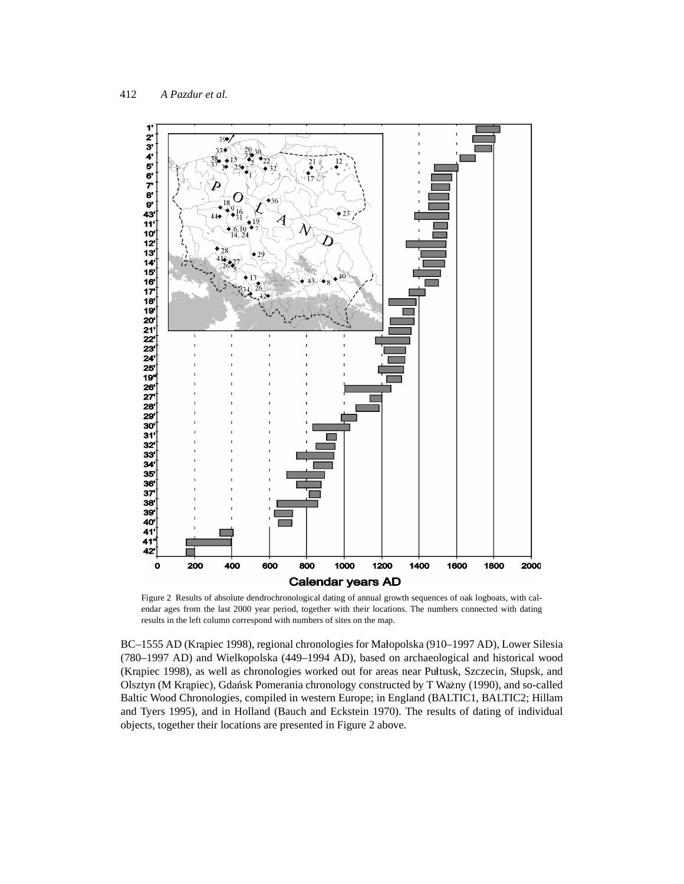

Figure 2 Results of absolute dendrochronological dating of annual growth sequences of oak logboats, with calendar ages from the last 2000 year period, together with their locations. The numbers connected with dating results in the left column correspond with numbers of sites on the map.

BC–1555 AD (Krapiec 1998), regional chronologies for Małopolska (910–1997 AD), Lower Silesia (780–1997 AD) and Wielkopolska (449–1994 AD), based on archaeological and historical wood (Krapiec 1998), as well as chronologies worked out for areas near Pułtusk, Szczecin, Słupsk, and Olsztyn (M Krapiec), Gdańsk Pomerania chronology constructed by T Ważny (1990), and so-called Baltic Wood Chronologies, compiled in western Europe; in England (BALTIC1, BALTIC2; Hillam and Tyers 1995), and in Holland (Bauch and Eckstein 1970). The results of dating of individual objects, together their locations are presented in Figure 2 above.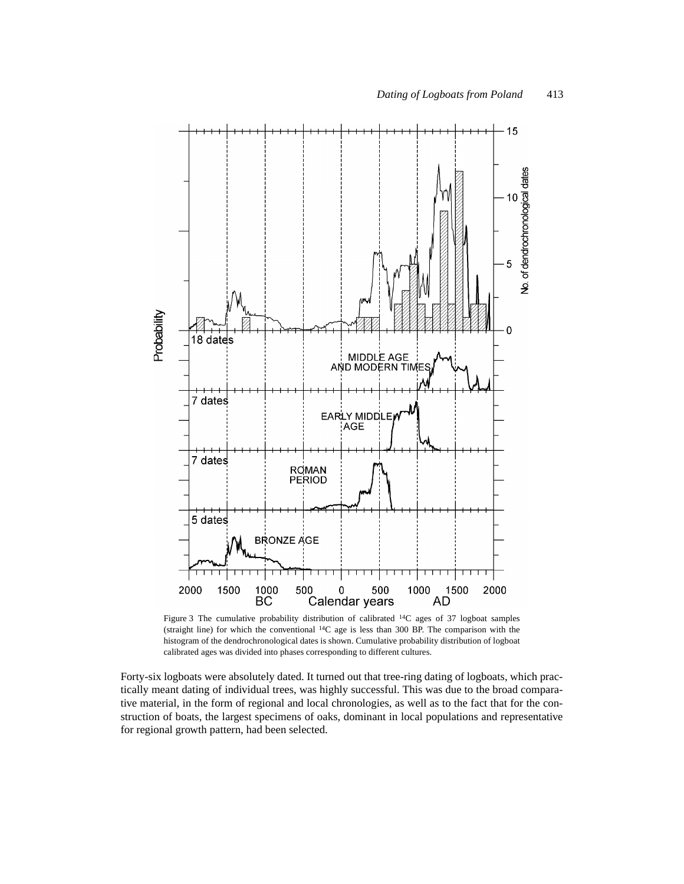

Figure 3 The cumulative probability distribution of calibrated 14C ages of 37 logboat samples (straight line) for which the conventional  ${}^{14}C$  age is less than 300 BP. The comparison with the histogram of the dendrochronological dates is shown. Cumulative probability distribution of logboat calibrated ages was divided into phases corresponding to different cultures.

Forty-six logboats were absolutely dated. It turned out that tree-ring dating of logboats, which practically meant dating of individual trees, was highly successful. This was due to the broad comparative material, in the form of regional and local chronologies, as well as to the fact that for the construction of boats, the largest specimens of oaks, dominant in local populations and representative for regional growth pattern, had been selected.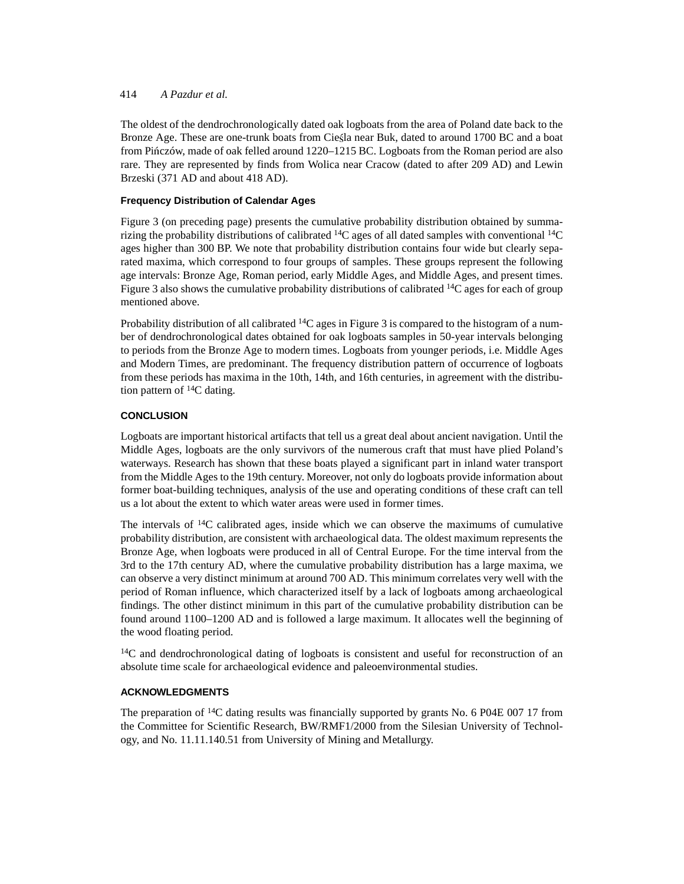The oldest of the dendrochronologically dated oak logboats from the area of Poland date back to the Bronze Age. These are one-trunk boats from Ciesta near Buk, dated to around 1700 BC and a boat from Piñczów, made of oak felled around 1220–1215 BC. Logboats from the Roman period are also rare. They are represented by finds from Wolica near Cracow (dated to after 209 AD) and Lewin Brzeski (371 AD and about 418 AD).

## **Frequency Distribution of Calendar Ages**

Figure 3 (on preceding page) presents the cumulative probability distribution obtained by summarizing the probability distributions of calibrated  $14C$  ages of all dated samples with conventional  $14C$ ages higher than 300 BP. We note that probability distribution contains four wide but clearly separated maxima, which correspond to four groups of samples. These groups represent the following age intervals: Bronze Age, Roman period, early Middle Ages, and Middle Ages, and present times. Figure 3 also shows the cumulative probability distributions of calibrated  $14C$  ages for each of group mentioned above.

Probability distribution of all calibrated  $^{14}C$  ages in Figure 3 is compared to the histogram of a number of dendrochronological dates obtained for oak logboats samples in 50-year intervals belonging to periods from the Bronze Age to modern times. Logboats from younger periods, i.e. Middle Ages and Modern Times, are predominant. The frequency distribution pattern of occurrence of logboats from these periods has maxima in the 10th, 14th, and 16th centuries, in agreement with the distribution pattern of  ${}^{14}C$  dating.

# **CONCLUSION**

Logboats are important historical artifacts that tell us a great deal about ancient navigation. Until the Middle Ages, logboats are the only survivors of the numerous craft that must have plied Poland's waterways. Research has shown that these boats played a significant part in inland water transport from the Middle Ages to the 19th century. Moreover, not only do logboats provide information about former boat-building techniques, analysis of the use and operating conditions of these craft can tell us a lot about the extent to which water areas were used in former times.

The intervals of  $14C$  calibrated ages, inside which we can observe the maximums of cumulative probability distribution, are consistent with archaeological data. The oldest maximum represents the Bronze Age, when logboats were produced in all of Central Europe. For the time interval from the 3rd to the 17th century AD, where the cumulative probability distribution has a large maxima, we can observe a very distinct minimum at around 700 AD. This minimum correlates very well with the period of Roman influence, which characterized itself by a lack of logboats among archaeological findings. The other distinct minimum in this part of the cumulative probability distribution can be found around 1100–1200 AD and is followed a large maximum. It allocates well the beginning of the wood floating period.

 $14C$  and dendrochronological dating of logboats is consistent and useful for reconstruction of an absolute time scale for archaeological evidence and paleoenvironmental studies.

#### **ACKNOWLEDGMENTS**

The preparation of <sup>14</sup>C dating results was financially supported by grants No. 6 P04E 007 17 from the Committee for Scientific Research, BW/RMF1/2000 from the Silesian University of Technology, and No. 11.11.140.51 from University of Mining and Metallurgy.